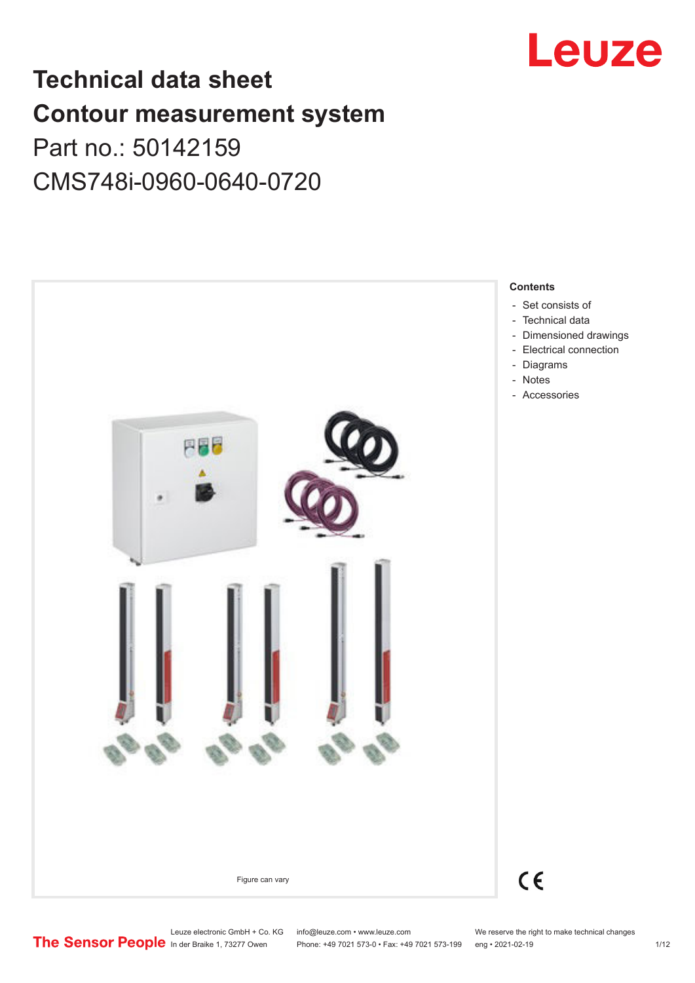

# **Technical data sheet Contour measurement system** Part no.: 50142159 CMS748i-0960-0640-0720



Leuze electronic GmbH + Co. KG info@leuze.com • www.leuze.com We reserve the right to make technical changes<br> **The Sensor People** in der Braike 1, 73277 Owen Phone: +49 7021 573-0 • Fax: +49 7021 573-199 eng • 2021-02-19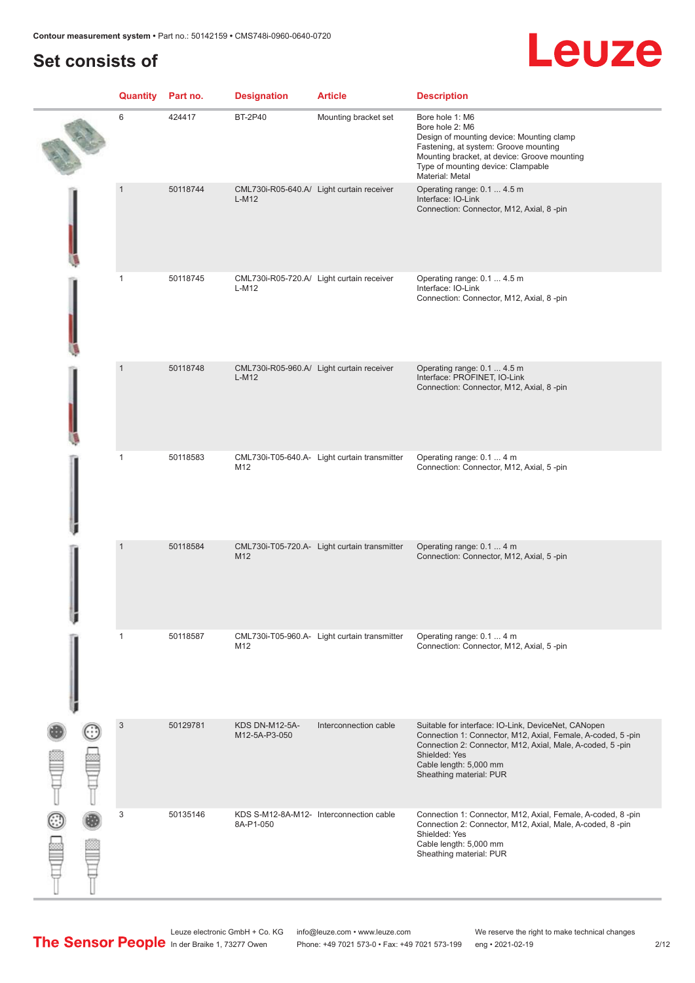# **Set consists of**

|               | <b>Quantity</b> Part no. |          | <b>Designation</b>              | <b>Article</b>                               | <b>Description</b>                                                                                                                                                                                                                                    |
|---------------|--------------------------|----------|---------------------------------|----------------------------------------------|-------------------------------------------------------------------------------------------------------------------------------------------------------------------------------------------------------------------------------------------------------|
|               | 6                        | 424417   | <b>BT-2P40</b>                  | Mounting bracket set                         | Bore hole 1: M6<br>Bore hole 2: M6<br>Design of mounting device: Mounting clamp<br>Fastening, at system: Groove mounting<br>Mounting bracket, at device: Groove mounting<br>Type of mounting device: Clampable<br>Material: Metal                     |
|               | $\overline{1}$           | 50118744 | $L-M12$                         | CML730i-R05-640.A/ Light curtain receiver    | Operating range: 0.1  4.5 m<br>Interface: IO-Link<br>Connection: Connector, M12, Axial, 8-pin                                                                                                                                                         |
|               | $\mathbf{1}$             | 50118745 | $L-M12$                         | CML730i-R05-720.A/ Light curtain receiver    | Operating range: 0.1  4.5 m<br>Interface: IO-Link<br>Connection: Connector, M12, Axial, 8-pin                                                                                                                                                         |
|               | $\mathbf{1}$             | 50118748 | $L-M12$                         | CML730i-R05-960.A/ Light curtain receiver    | Operating range: 0.1  4.5 m<br>Interface: PROFINET, IO-Link<br>Connection: Connector, M12, Axial, 8-pin                                                                                                                                               |
|               | $\mathbf{1}$             | 50118583 | M12                             | CML730i-T05-640.A- Light curtain transmitter | Operating range: 0.1  4 m<br>Connection: Connector, M12, Axial, 5-pin                                                                                                                                                                                 |
|               | $\overline{1}$           | 50118584 | M12                             | CML730i-T05-720.A- Light curtain transmitter | Operating range: 0.1  4 m<br>Connection: Connector, M12, Axial, 5-pin                                                                                                                                                                                 |
|               | 1                        | 50118587 | M12                             | CML730i-T05-960.A- Light curtain transmitter | Operating range: 0.1  4 m<br>Connection: Connector, M12, Axial, 5-pin                                                                                                                                                                                 |
| $\frac{1}{2}$ | $\mathbf{3}$             | 50129781 | KDS DN-M12-5A-<br>M12-5A-P3-050 | Interconnection cable                        | Suitable for interface: IO-Link, DeviceNet, CANopen<br>Connection 1: Connector, M12, Axial, Female, A-coded, 5-pin<br>Connection 2: Connector, M12, Axial, Male, A-coded, 5-pin<br>Shielded: Yes<br>Cable length: 5,000 mm<br>Sheathing material: PUR |
|               | 3                        | 50135146 | 8A-P1-050                       | KDS S-M12-8A-M12- Interconnection cable      | Connection 1: Connector, M12, Axial, Female, A-coded, 8-pin<br>Connection 2: Connector, M12, Axial, Male, A-coded, 8-pin<br>Shielded: Yes<br>Cable length: 5,000 mm<br>Sheathing material: PUR                                                        |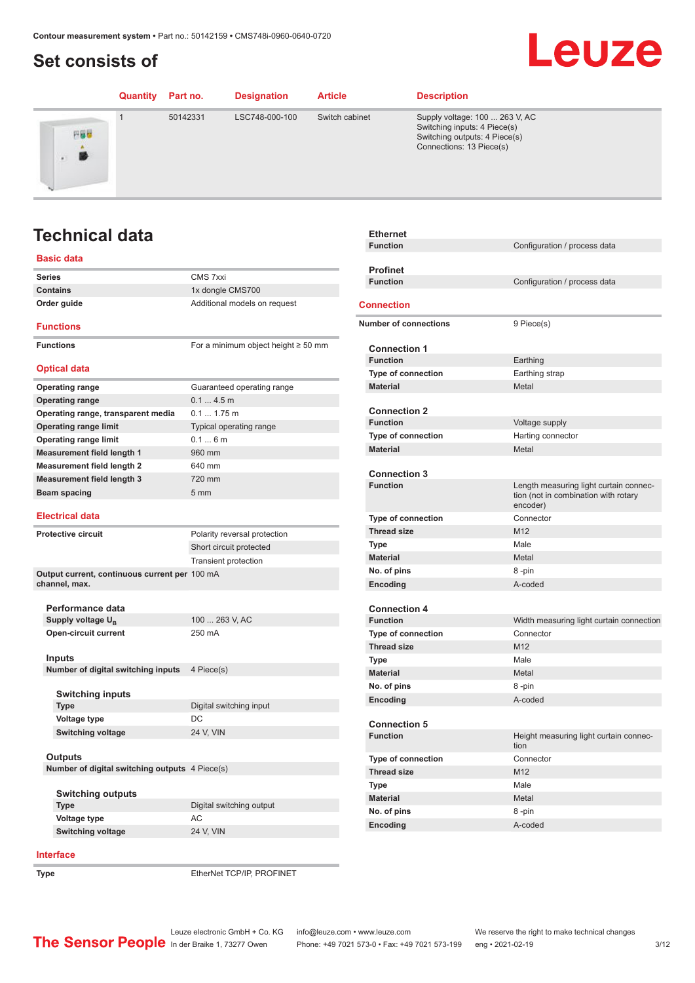# <span id="page-2-0"></span>**Set consists of**

## Leuze **Quantity Part no. Designation Article Description** 1 50142331 LSC748-000-100 Switch cabinet Supply voltage: 100 ... 263 V, AC Switching inputs: 4 Piece(s) 円器器 Switching outputs: 4 Piece(s) Connections: 13 Piece(s) 勝

# **Technical data**

### **Basic data**

| <b>Series</b>                                                  | CMS 7xxi                                 |
|----------------------------------------------------------------|------------------------------------------|
| <b>Contains</b>                                                | 1x dongle CMS700                         |
| Order guide                                                    | Additional models on request             |
| <b>Functions</b>                                               |                                          |
| <b>Functions</b>                                               | For a minimum object height $\geq$ 50 mm |
| <b>Optical data</b>                                            |                                          |
| <b>Operating range</b>                                         | Guaranteed operating range               |
| <b>Operating range</b>                                         | 0.14.5m                                  |
| Operating range, transparent media                             | $0.1 1.75$ m                             |
| <b>Operating range limit</b>                                   | Typical operating range                  |
| <b>Operating range limit</b>                                   | 0.16m                                    |
| <b>Measurement field length 1</b>                              | 960 mm                                   |
| <b>Measurement field length 2</b>                              | 640 mm                                   |
| <b>Measurement field length 3</b>                              | 720 mm                                   |
| Beam spacing                                                   | 5 <sub>mm</sub>                          |
| <b>Electrical data</b>                                         |                                          |
|                                                                |                                          |
| <b>Protective circuit</b>                                      | Polarity reversal protection             |
|                                                                | Short circuit protected                  |
|                                                                | <b>Transient protection</b>              |
| Output current, continuous current per 100 mA<br>channel, max. |                                          |
|                                                                |                                          |
| Performance data                                               |                                          |
| Supply voltage U <sub>B</sub>                                  | 100  263 V, AC                           |
| <b>Open-circuit current</b>                                    | 250 mA                                   |
|                                                                |                                          |
| Inputs                                                         |                                          |
| Number of digital switching inputs                             | 4 Piece(s)                               |
|                                                                |                                          |
| <b>Switching inputs</b>                                        |                                          |
| <b>Type</b>                                                    | Digital switching input                  |
| Voltage type                                                   | DC                                       |
| <b>Switching voltage</b>                                       | 24 V, VIN                                |
|                                                                |                                          |
| Outputs                                                        |                                          |
| Number of digital switching outputs 4 Piece(s)                 |                                          |
|                                                                |                                          |
| <b>Switching outputs</b><br><b>Type</b>                        | Digital switching output                 |
|                                                                |                                          |
| <b>Voltage type</b>                                            | АC                                       |
| <b>Switching voltage</b>                                       | 24 V, VIN                                |
|                                                                |                                          |

| <b>Ethernet</b>              |                                                                                            |
|------------------------------|--------------------------------------------------------------------------------------------|
| <b>Function</b>              | Configuration / process data                                                               |
|                              |                                                                                            |
| <b>Profinet</b>              |                                                                                            |
| <b>Function</b>              | Configuration / process data                                                               |
| <b>Connection</b>            |                                                                                            |
| <b>Number of connections</b> | 9 Piece(s)                                                                                 |
|                              |                                                                                            |
| <b>Connection 1</b>          |                                                                                            |
| <b>Function</b>              | Earthing                                                                                   |
| Type of connection           | Earthing strap                                                                             |
| <b>Material</b>              | Metal                                                                                      |
| <b>Connection 2</b>          |                                                                                            |
| <b>Function</b>              | Voltage supply                                                                             |
| Type of connection           | Harting connector                                                                          |
| <b>Material</b>              | Metal                                                                                      |
|                              |                                                                                            |
| <b>Connection 3</b>          |                                                                                            |
| <b>Function</b>              | Length measuring light curtain connec-<br>tion (not in combination with rotary<br>encoder) |
| <b>Type of connection</b>    | Connector                                                                                  |
| <b>Thread size</b>           | M12                                                                                        |
| Type                         | Male                                                                                       |
| <b>Material</b>              | Metal                                                                                      |
| No. of pins                  | 8-pin                                                                                      |
| Encoding                     | A-coded                                                                                    |
|                              |                                                                                            |
| <b>Connection 4</b>          |                                                                                            |
| <b>Function</b>              | Width measuring light curtain connection                                                   |
| <b>Type of connection</b>    | Connector                                                                                  |
| <b>Thread size</b>           | M12                                                                                        |
| <b>Type</b>                  | Male                                                                                       |
| <b>Material</b>              | Metal                                                                                      |
| No. of pins                  | 8-pin                                                                                      |
| Encoding                     | A-coded                                                                                    |
| <b>Connection 5</b>          |                                                                                            |
| <b>Function</b>              | Height measuring light curtain connec-<br>tion                                             |
| <b>Type of connection</b>    | Connector                                                                                  |
| <b>Thread size</b>           | M12                                                                                        |
| <b>Type</b>                  | Male                                                                                       |
| <b>Material</b>              | Metal                                                                                      |
| No. of pins                  | 8-pin                                                                                      |
| Encoding                     | A-coded                                                                                    |

#### **Interface**

**Type** EtherNet TCP/IP, PROFINET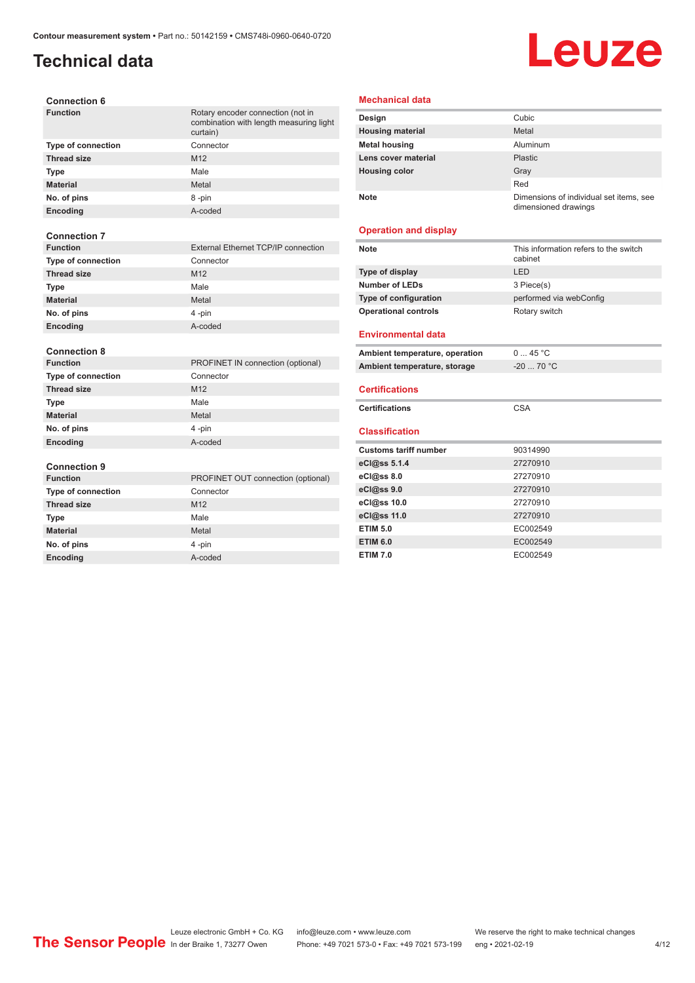# **Technical data**

# **Leuze**

| <b>Connection 6</b>                      |                                                                                          |
|------------------------------------------|------------------------------------------------------------------------------------------|
| <b>Function</b>                          | Rotary encoder connection (not in<br>combination with length measuring light<br>curtain) |
| <b>Type of connection</b>                | Connector                                                                                |
| <b>Thread size</b>                       | M12                                                                                      |
| Type                                     | Male                                                                                     |
| <b>Material</b>                          | Metal                                                                                    |
| No. of pins                              | 8-pin                                                                                    |
| Encoding                                 | A-coded                                                                                  |
|                                          |                                                                                          |
| <b>Connection 7</b>                      |                                                                                          |
| <b>Function</b>                          | External Ethernet TCP/IP connection                                                      |
| <b>Type of connection</b>                | Connector                                                                                |
| <b>Thread size</b>                       | M12                                                                                      |
| <b>Type</b>                              | Male                                                                                     |
| <b>Material</b>                          | Metal                                                                                    |
| No. of pins                              | 4-pin                                                                                    |
|                                          |                                                                                          |
| Encoding                                 | A-coded                                                                                  |
|                                          |                                                                                          |
| <b>Connection 8</b>                      |                                                                                          |
| <b>Function</b>                          | PROFINET IN connection (optional)                                                        |
| <b>Type of connection</b>                | Connector                                                                                |
| <b>Thread size</b>                       | M12                                                                                      |
| Type                                     | Male                                                                                     |
| <b>Material</b>                          | Metal                                                                                    |
| No. of pins                              | 4-pin                                                                                    |
| Encoding                                 | A-coded                                                                                  |
|                                          |                                                                                          |
| <b>Connection 9</b><br><b>Function</b>   | PROFINET OUT connection (optional)                                                       |
|                                          | Connector                                                                                |
| Type of connection<br><b>Thread size</b> | M12                                                                                      |
| <b>Type</b>                              | Male                                                                                     |
| <b>Material</b>                          | Metal                                                                                    |

**Encoding** A-coded

#### **Mechanical data**

| Design                  | Cubic                                                           |
|-------------------------|-----------------------------------------------------------------|
| <b>Housing material</b> | Metal                                                           |
| <b>Metal housing</b>    | Aluminum                                                        |
| Lens cover material     | Plastic                                                         |
| <b>Housing color</b>    | Gray                                                            |
|                         | Red                                                             |
| <b>Note</b>             | Dimensions of individual set items, see<br>dimensioned drawings |

#### **Operation and display**

| <b>Note</b>                    | This information refers to the switch<br>cabinet |
|--------------------------------|--------------------------------------------------|
| Type of display                | LED                                              |
| <b>Number of LEDs</b>          | 3 Piece(s)                                       |
| Type of configuration          | performed via webConfig                          |
| <b>Operational controls</b>    | Rotary switch                                    |
| <b>Environmental data</b>      |                                                  |
| Ambient temperature, operation | 045 °C                                           |
| Ambient temperature, storage   | $-20$ 70 °C                                      |
|                                |                                                  |
|                                |                                                  |
| <b>Certifications</b>          |                                                  |
| <b>Certifications</b>          | CSA                                              |
| <b>Classification</b>          |                                                  |
| <b>Customs tariff number</b>   | 90314990                                         |
| eCl@ss 5.1.4                   | 27270910                                         |
| eCl@ss 8.0                     | 27270910                                         |
| eCl@ss 9.0                     | 27270910                                         |
| eCl@ss 10.0                    | 27270910                                         |
| eCl@ss 11.0                    | 27270910                                         |
| <b>ETIM 5.0</b>                | EC002549                                         |
| <b>ETIM 6.0</b>                | EC002549                                         |

Leuze electronic GmbH + Co. KG info@leuze.com • www.leuze.com We reserve the right to make technical changes In der Braike 1, 73277 Owen Phone: +49 7021 573-0 • Fax: +49 7021 573-199 eng • 2021-02-19 4 /12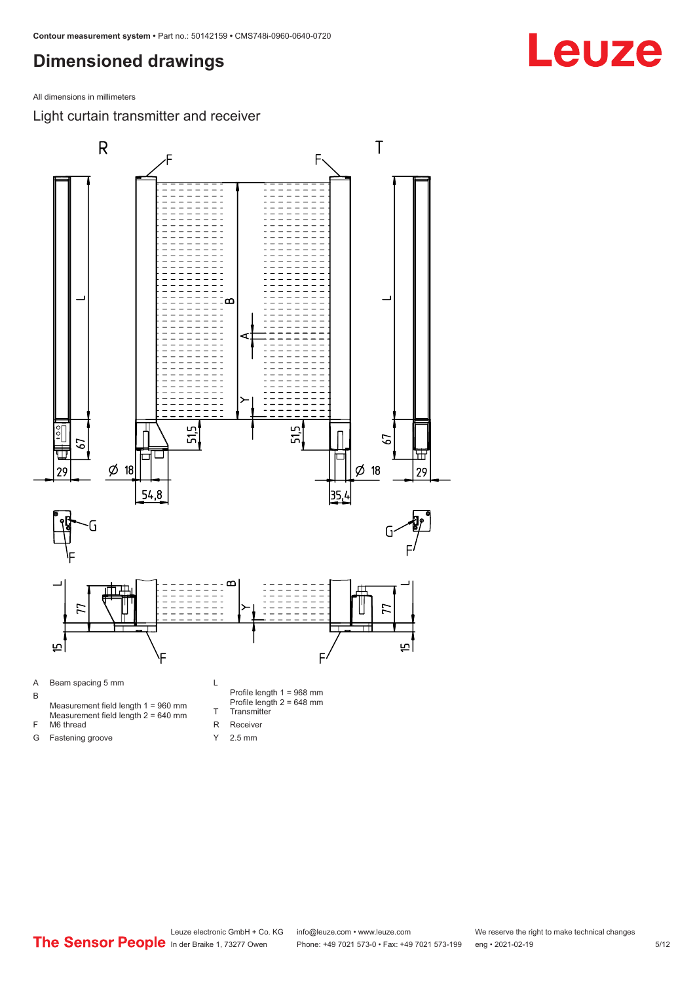# <span id="page-4-0"></span>**Dimensioned drawings**

All dimensions in millimeters

Light curtain transmitter and receiver



Y 2.5 mm

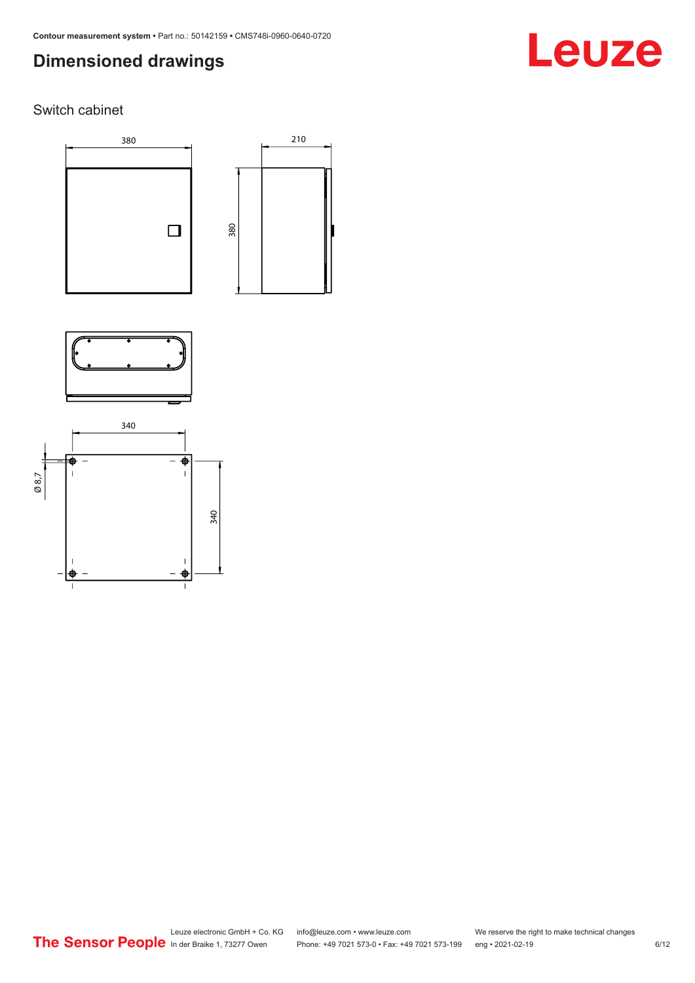# **Dimensioned drawings**

## Switch cabinet







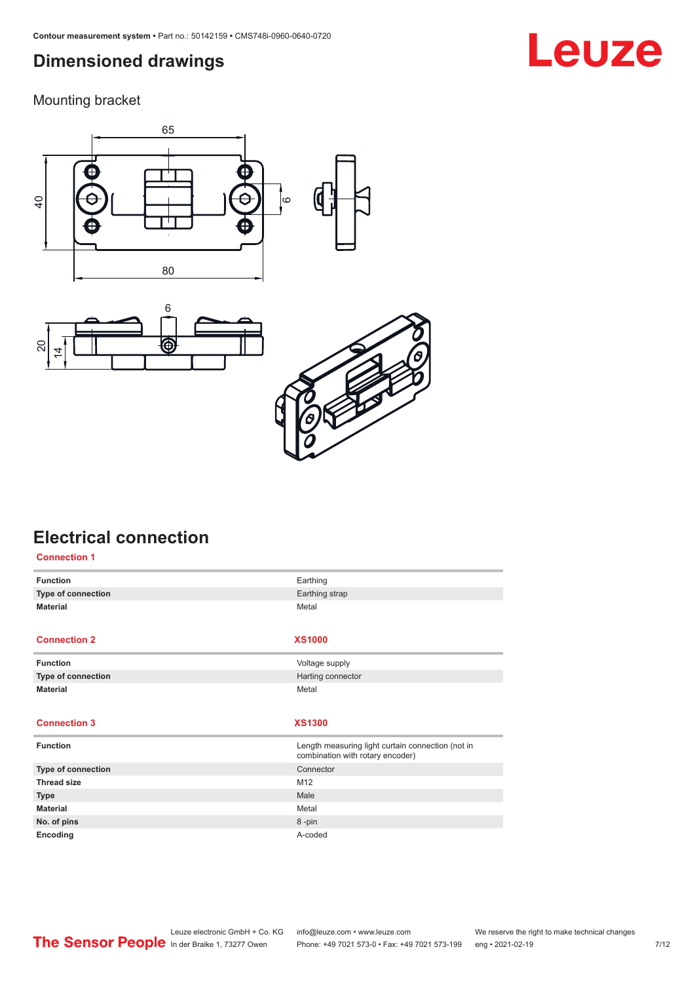# <span id="page-6-0"></span>**Dimensioned drawings**

Mounting bracket







# **Electrical connection**

| <b>Connection 1</b> |                                                                                       |
|---------------------|---------------------------------------------------------------------------------------|
| <b>Function</b>     | Earthing                                                                              |
| Type of connection  | Earthing strap                                                                        |
| <b>Material</b>     | Metal                                                                                 |
|                     |                                                                                       |
| <b>Connection 2</b> | <b>XS1000</b>                                                                         |
| <b>Function</b>     | Voltage supply                                                                        |
| Type of connection  | Harting connector                                                                     |
| <b>Material</b>     | Metal                                                                                 |
|                     |                                                                                       |
|                     |                                                                                       |
| <b>Connection 3</b> | <b>XS1300</b>                                                                         |
| <b>Function</b>     | Length measuring light curtain connection (not in<br>combination with rotary encoder) |
| Type of connection  | Connector                                                                             |
| <b>Thread size</b>  | M12                                                                                   |
| <b>Type</b>         | Male                                                                                  |
| <b>Material</b>     | Metal                                                                                 |
| No. of pins         | 8-pin                                                                                 |

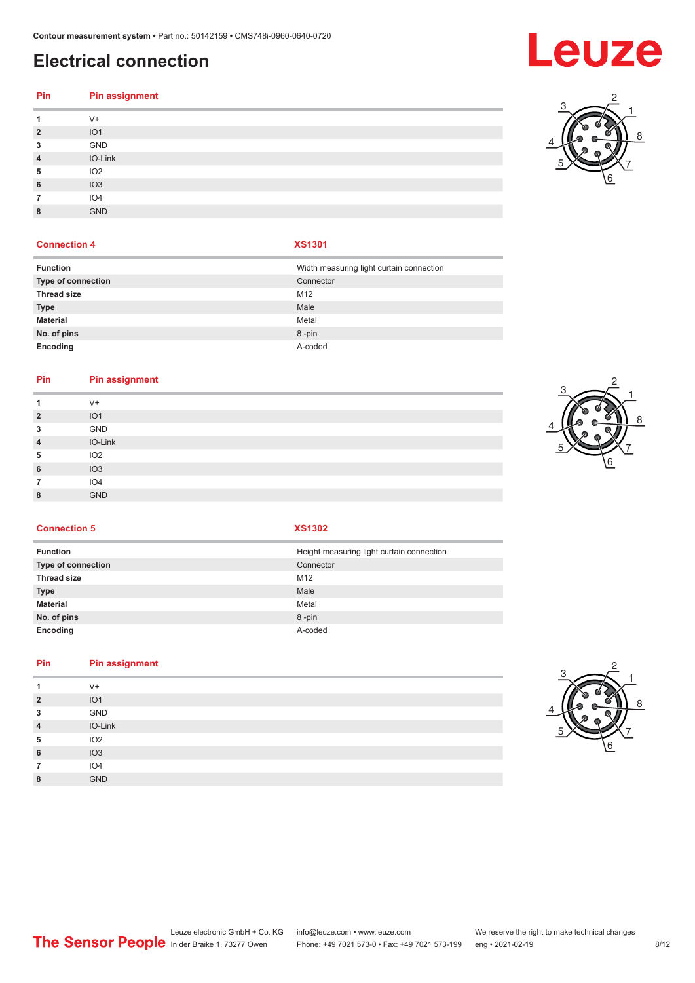# **Electrical connection**

# **Pin Pin assignment**

| .              | $\ldots$ woolgomoon. |
|----------------|----------------------|
| 1              | $V +$                |
| $\overline{2}$ | IO1                  |
| 3              | GND                  |
| $\overline{4}$ | IO-Link              |
| 5              | IO <sub>2</sub>      |
| 6              | IO3                  |
| 7              | IO <sub>4</sub>      |
| 8              | <b>GND</b>           |

#### **Connection 4 XS1301**

| <b>Function</b>    | Width measuring light curtain connection |
|--------------------|------------------------------------------|
| Type of connection | Connector                                |
| <b>Thread size</b> | M12                                      |
| <b>Type</b>        | Male                                     |
| <b>Material</b>    | Metal                                    |
| No. of pins        | 8-pin                                    |
| Encoding           | A-coded                                  |

#### **Pin Pin assignment**

| $V +$<br>1<br>IO <sub>1</sub><br>$\overline{2}$<br>GND<br>3<br>IO-Link<br>$\overline{4}$<br>IO <sub>2</sub><br>5<br>IO3<br>6<br>IO <sub>4</sub><br>7<br><b>GND</b><br>8 |  |
|-------------------------------------------------------------------------------------------------------------------------------------------------------------------------|--|
|                                                                                                                                                                         |  |
|                                                                                                                                                                         |  |
|                                                                                                                                                                         |  |
|                                                                                                                                                                         |  |
|                                                                                                                                                                         |  |
|                                                                                                                                                                         |  |
|                                                                                                                                                                         |  |
|                                                                                                                                                                         |  |



#### **Connection 5 XS1302**

| <b>Function</b>    | Height measuring light curtain connection |
|--------------------|-------------------------------------------|
| Type of connection | Connector                                 |
| <b>Thread size</b> | M12                                       |
| <b>Type</b>        | Male                                      |
| <b>Material</b>    | Metal                                     |
| No. of pins        | 8-pin                                     |
| Encoding           | A-coded                                   |
|                    |                                           |

### **Pin Pin assignment**

| л              | $V +$           |  |
|----------------|-----------------|--|
| $\overline{2}$ | IO1             |  |
| 3              | GND             |  |
| $\overline{4}$ | IO-Link         |  |
| 5              | IO <sub>2</sub> |  |
| 6              | IO3             |  |
| 7              | IO <sub>4</sub> |  |
| 8              | <b>GND</b>      |  |
|                |                 |  |





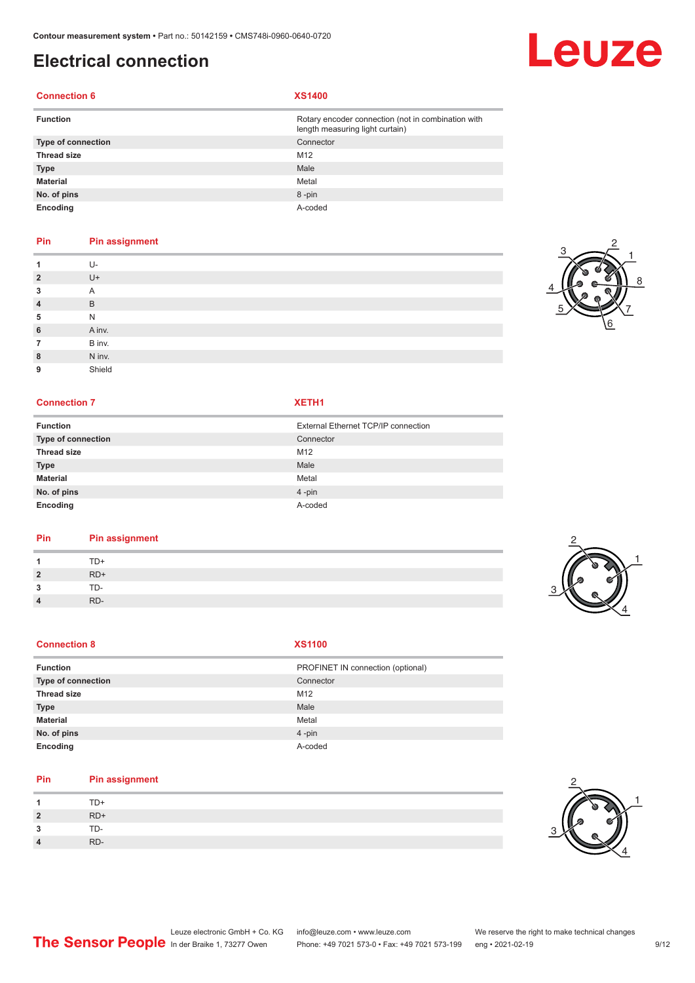# **Electrical connection**

### **Connection 6 XS1400**

| <b>Function</b>    | Rotary encoder connection (not in combination with<br>length measuring light curtain) |
|--------------------|---------------------------------------------------------------------------------------|
| Type of connection | Connector                                                                             |
| <b>Thread size</b> | M12                                                                                   |
| <b>Type</b>        | Male                                                                                  |
| <b>Material</b>    | Metal                                                                                 |
| No. of pins        | 8-pin                                                                                 |
| Encoding           | A-coded                                                                               |

### **Pin Pin assignment**

|                | $U -$  |
|----------------|--------|
| $\overline{2}$ | $U +$  |
| 3              | Α      |
| $\overline{4}$ | B      |
| 5              | N      |
| 6              | A inv. |
| 7              | B inv. |
| 8              | N inv. |
| 9              | Shield |

#### **Connection 7 XETH1**

| <b>Function</b>    | External Ethernet TCP/IP connection |
|--------------------|-------------------------------------|
| Type of connection | Connector                           |
| <b>Thread size</b> | M12                                 |
| <b>Type</b>        | Male                                |
| <b>Material</b>    | Metal                               |
| No. of pins        | $4$ -pin                            |
| Encoding           | A-coded                             |

#### **Pin Pin assignment**

|                  | TD+   |        |
|------------------|-------|--------|
| $\overline{2}$   | $RD+$ | Ί<br>z |
| $\bullet$<br>- 1 | TD-   |        |
| 4                | RD-   |        |

#### **Connection 8**

| $\sim$<br>٠ |  |
|-------------|--|

| <b>Function</b>    | PROFINET IN connection (optional) |
|--------------------|-----------------------------------|
| Type of connection | Connector                         |
| Thread size        | M12                               |
| <b>Type</b>        | Male                              |
| Material           | Metal                             |
| No. of pins        | $4 - pin$                         |
| Encoding           | A-coded                           |

#### **Pin Pin assignment**

|                          | $TD+$ |
|--------------------------|-------|
| $\overline{\phantom{a}}$ | $RD+$ |
| 2                        | TD-   |
| 4                        | RD-   |



2

1



 $\frac{2}{2}$ 



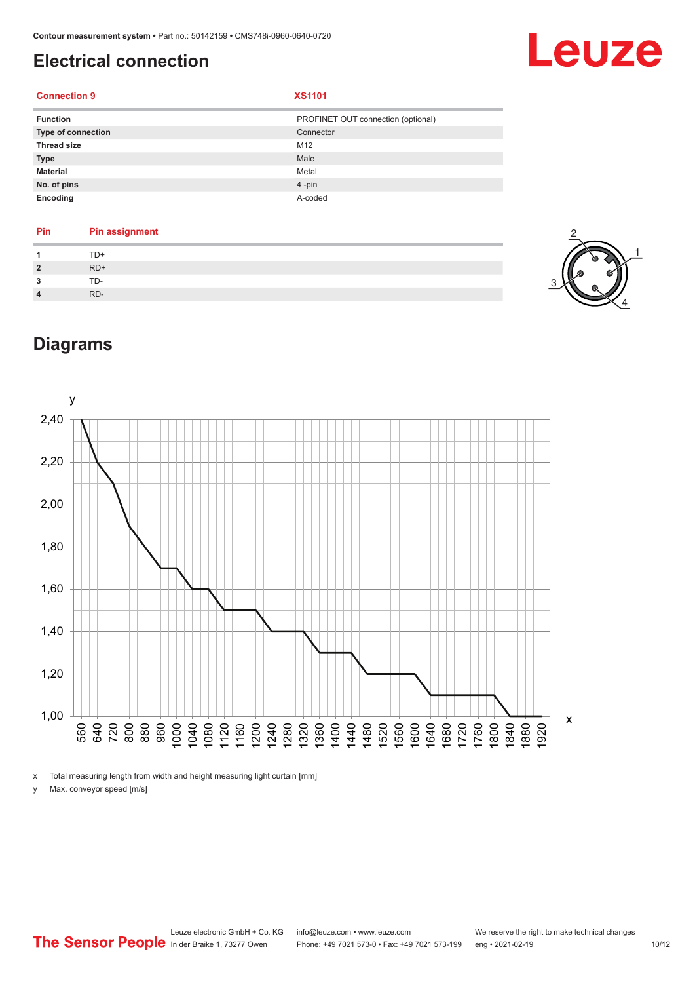# <span id="page-9-0"></span>**Electrical connection**

# Leuze

### **Connection 9 XS1101**

| <b>Function</b>           | PROFINET OUT connection (optional) |
|---------------------------|------------------------------------|
| <b>Type of connection</b> | Connector                          |
| <b>Thread size</b>        | M12                                |
| <b>Type</b>               | Male                               |
| <b>Material</b>           | Metal                              |
| No. of pins               | $4$ -pin                           |
| Encoding                  | A-coded                            |

| Pin            | <b>Pin assignment</b> |
|----------------|-----------------------|
|                | TD+                   |
| $\overline{2}$ | $RD+$                 |
| 2              | TD-                   |
| $\overline{4}$ | RD-                   |



# **Diagrams**



x Total measuring length from width and height measuring light curtain [mm]

y Max. conveyor speed [m/s]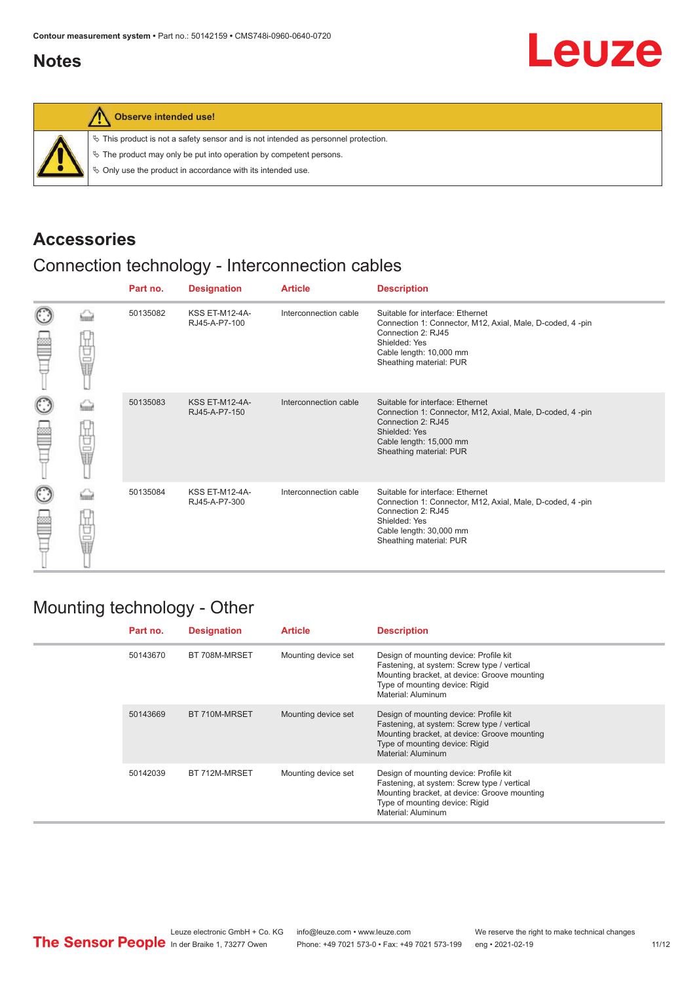# <span id="page-10-0"></span>**Notes**



#### **Observe intended use!**

|  |  |  |  |  |  |  |  | $\%$ This product is not a safety sensor and is not intended as personnel protection. |  |
|--|--|--|--|--|--|--|--|---------------------------------------------------------------------------------------|--|
|--|--|--|--|--|--|--|--|---------------------------------------------------------------------------------------|--|

 $\%$  The product may only be put into operation by competent persons.

 $\%$  Only use the product in accordance with its intended use.

## **Accessories**

# Connection technology - Interconnection cables

|                      |                                                                                                                                           | Part no. | <b>Designation</b>                     | <b>Article</b>        | <b>Description</b>                                                                                                                                                                         |
|----------------------|-------------------------------------------------------------------------------------------------------------------------------------------|----------|----------------------------------------|-----------------------|--------------------------------------------------------------------------------------------------------------------------------------------------------------------------------------------|
| $_{\mathbb{C}}$<br>œ | Ī                                                                                                                                         | 50135082 | <b>KSS ET-M12-4A-</b><br>RJ45-A-P7-100 | Interconnection cable | Suitable for interface: Ethernet<br>Connection 1: Connector, M12, Axial, Male, D-coded, 4-pin<br>Connection 2: RJ45<br>Shielded: Yes<br>Cable length: 10,000 mm<br>Sheathing material: PUR |
| $_{\bigodot}$<br>≌   | -<br>一、<br>「<br>「<br><br><br><br><br><br><br><br><br><br><br><br><br><br><br><br><br><br><br><br><br><br><br><br><br><br><br><br><br><br> | 50135083 | <b>KSS ET-M12-4A-</b><br>RJ45-A-P7-150 | Interconnection cable | Suitable for interface: Ethernet<br>Connection 1: Connector, M12, Axial, Male, D-coded, 4-pin<br>Connection 2: RJ45<br>Shielded: Yes<br>Cable length: 15,000 mm<br>Sheathing material: PUR |
| $_{\mathbb{C}}$<br>≝ | 甘晶                                                                                                                                        | 50135084 | <b>KSS ET-M12-4A-</b><br>RJ45-A-P7-300 | Interconnection cable | Suitable for interface: Ethernet<br>Connection 1: Connector, M12, Axial, Male, D-coded, 4-pin<br>Connection 2: RJ45<br>Shielded: Yes<br>Cable length: 30,000 mm<br>Sheathing material: PUR |

## Mounting technology - Other

|  | Part no. | <b>Designation</b> | <b>Article</b>      | <b>Description</b>                                                                                                                                                                            |
|--|----------|--------------------|---------------------|-----------------------------------------------------------------------------------------------------------------------------------------------------------------------------------------------|
|  | 50143670 | BT 708M-MRSET      | Mounting device set | Design of mounting device: Profile kit<br>Fastening, at system: Screw type / vertical<br>Mounting bracket, at device: Groove mounting<br>Type of mounting device: Rigid<br>Material: Aluminum |
|  | 50143669 | BT 710M-MRSET      | Mounting device set | Design of mounting device: Profile kit<br>Fastening, at system: Screw type / vertical<br>Mounting bracket, at device: Groove mounting<br>Type of mounting device: Rigid<br>Material: Aluminum |
|  | 50142039 | BT 712M-MRSET      | Mounting device set | Design of mounting device: Profile kit<br>Fastening, at system: Screw type / vertical<br>Mounting bracket, at device: Groove mounting<br>Type of mounting device: Rigid<br>Material: Aluminum |